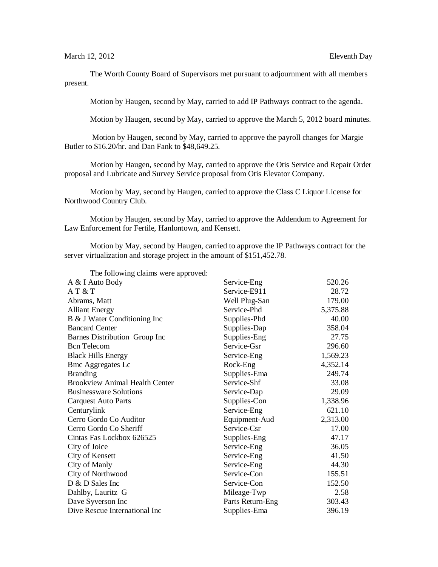March 12, 2012 **Eleventh** Day

The Worth County Board of Supervisors met pursuant to adjournment with all members present.

Motion by Haugen, second by May, carried to add IP Pathways contract to the agenda.

Motion by Haugen, second by May, carried to approve the March 5, 2012 board minutes.

Motion by Haugen, second by May, carried to approve the payroll changes for Margie Butler to \$16.20/hr. and Dan Fank to \$48,649.25.

Motion by Haugen, second by May, carried to approve the Otis Service and Repair Order proposal and Lubricate and Survey Service proposal from Otis Elevator Company.

Motion by May, second by Haugen, carried to approve the Class C Liquor License for Northwood Country Club.

Motion by Haugen, second by May, carried to approve the Addendum to Agreement for Law Enforcement for Fertile, Hanlontown, and Kensett.

Motion by May, second by Haugen, carried to approve the IP Pathways contract for the server virtualization and storage project in the amount of \$151,452.78.

| The following claims were approved:   |                  |          |
|---------------------------------------|------------------|----------|
| A & I Auto Body                       | Service-Eng      | 520.26   |
| AT & T                                | Service-E911     | 28.72    |
| Abrams, Matt                          | Well Plug-San    | 179.00   |
| <b>Alliant Energy</b>                 | Service-Phd      | 5,375.88 |
| B & J Water Conditioning Inc          | Supplies-Phd     | 40.00    |
| <b>Bancard Center</b>                 | Supplies-Dap     | 358.04   |
| Barnes Distribution Group Inc         | Supplies-Eng     | 27.75    |
| <b>Bcn</b> Telecom                    | Service-Gsr      | 296.60   |
| <b>Black Hills Energy</b>             | Service-Eng      | 1,569.23 |
| <b>Bmc Aggregates Lc</b>              | Rock-Eng         | 4,352.14 |
| <b>Branding</b>                       | Supplies-Ema     | 249.74   |
| <b>Brookview Animal Health Center</b> | Service-Shf      | 33.08    |
| <b>Businessware Solutions</b>         | Service-Dap      | 29.09    |
| <b>Carquest Auto Parts</b>            | Supplies-Con     | 1,338.96 |
| Centurylink                           | Service-Eng      | 621.10   |
| Cerro Gordo Co Auditor                | Equipment-Aud    | 2,313.00 |
| Cerro Gordo Co Sheriff                | Service-Csr      | 17.00    |
| Cintas Fas Lockbox 626525             | Supplies-Eng     | 47.17    |
| City of Joice                         | Service-Eng      | 36.05    |
| City of Kensett                       | Service-Eng      | 41.50    |
| City of Manly                         | Service-Eng      | 44.30    |
| City of Northwood                     | Service-Con      | 155.51   |
| D & D Sales Inc                       | Service-Con      | 152.50   |
| Dahlby, Lauritz G                     | Mileage-Twp      | 2.58     |
| Dave Syverson Inc                     | Parts Return-Eng | 303.43   |
| Dive Rescue International Inc         | Supplies-Ema     | 396.19   |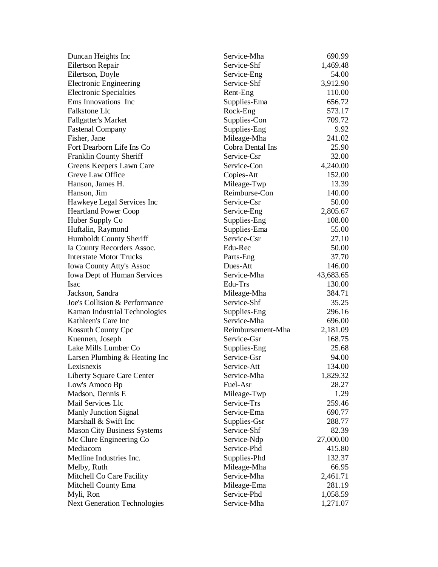| Duncan Heights Inc                  | Service-Mha       | 690.99    |
|-------------------------------------|-------------------|-----------|
| <b>Eilertson Repair</b>             | Service-Shf       | 1,469.48  |
| Eilertson, Doyle                    | Service-Eng       | 54.00     |
| <b>Electronic Engineering</b>       | Service-Shf       | 3,912.90  |
| <b>Electronic Specialties</b>       | Rent-Eng          | 110.00    |
| Ems Innovations Inc                 | Supplies-Ema      | 656.72    |
| Falkstone Llc                       | Rock-Eng          | 573.17    |
| <b>Fallgatter's Market</b>          | Supplies-Con      | 709.72    |
| <b>Fastenal Company</b>             | Supplies-Eng      | 9.92      |
| Fisher, Jane                        | Mileage-Mha       | 241.02    |
| Fort Dearborn Life Ins Co           | Cobra Dental Ins  | 25.90     |
| Franklin County Sheriff             | Service-Csr       | 32.00     |
| Greens Keepers Lawn Care            | Service-Con       | 4,240.00  |
| Greve Law Office                    | Copies-Att        | 152.00    |
| Hanson, James H.                    | Mileage-Twp       | 13.39     |
| Hanson, Jim                         | Reimburse-Con     | 140.00    |
| Hawkeye Legal Services Inc          | Service-Csr       | 50.00     |
| <b>Heartland Power Coop</b>         | Service-Eng       | 2,805.67  |
| Huber Supply Co                     | Supplies-Eng      | 108.00    |
| Huftalin, Raymond                   | Supplies-Ema      | 55.00     |
| Humboldt County Sheriff             | Service-Csr       | 27.10     |
| Ia County Recorders Assoc.          | Edu-Rec           | 50.00     |
| <b>Interstate Motor Trucks</b>      | Parts-Eng         | 37.70     |
| <b>Iowa County Atty's Assoc</b>     | Dues-Att          | 146.00    |
| <b>Iowa Dept of Human Services</b>  | Service-Mha       | 43,683.65 |
| Isac                                | Edu-Trs           | 130.00    |
| Jackson, Sandra                     | Mileage-Mha       | 384.71    |
| Joe's Collision & Performance       | Service-Shf       | 35.25     |
| Kaman Industrial Technologies       | Supplies-Eng      | 296.16    |
| Kathleen's Care Inc                 | Service-Mha       | 696.00    |
| <b>Kossuth County Cpc</b>           | Reimbursement-Mha | 2,181.09  |
| Kuennen, Joseph                     | Service-Gsr       | 168.75    |
| Lake Mills Lumber Co                | Supplies-Eng      | 25.68     |
| Larsen Plumbing & Heating Inc       | Service-Gsr       | 94.00     |
| Lexisnexis                          | Service-Att       | 134.00    |
| Liberty Square Care Center          | Service-Mha       | 1,829.32  |
| Low's Amoco Bp                      | Fuel-Asr          | 28.27     |
| Madson, Dennis E                    | Mileage-Twp       | 1.29      |
| Mail Services Llc                   | Service-Trs       | 259.46    |
| <b>Manly Junction Signal</b>        | Service-Ema       | 690.77    |
| Marshall & Swift Inc                | Supplies-Gsr      | 288.77    |
| <b>Mason City Business Systems</b>  | Service-Shf       | 82.39     |
| Mc Clure Engineering Co             | Service-Ndp       | 27,000.00 |
| Mediacom                            | Service-Phd       | 415.80    |
| Medline Industries Inc.             | Supplies-Phd      | 132.37    |
| Melby, Ruth                         | Mileage-Mha       | 66.95     |
| Mitchell Co Care Facility           | Service-Mha       | 2,461.71  |
| Mitchell County Ema                 | Mileage-Ema       | 281.19    |
| Myli, Ron                           | Service-Phd       | 1,058.59  |
| <b>Next Generation Technologies</b> | Service-Mha       | 1,271.07  |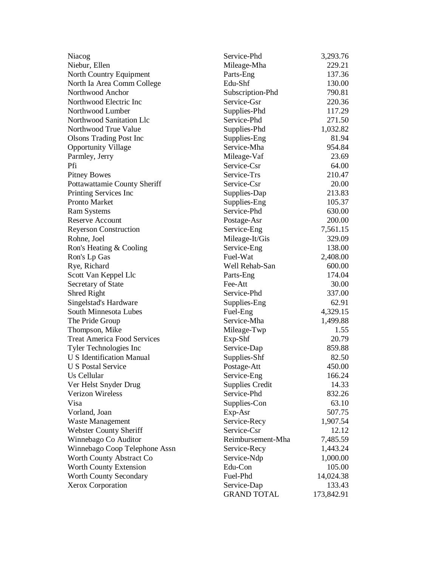| Niacog                             | Service-Phd        | 3,293.76   |
|------------------------------------|--------------------|------------|
| Niebur, Ellen                      | Mileage-Mha        | 229.21     |
| North Country Equipment            | Parts-Eng          | 137.36     |
| North Ia Area Comm College         | Edu-Shf            | 130.00     |
| Northwood Anchor                   | Subscription-Phd   | 790.81     |
| Northwood Electric Inc             | Service-Gsr        | 220.36     |
| Northwood Lumber                   | Supplies-Phd       | 117.29     |
| Northwood Sanitation Llc           | Service-Phd        | 271.50     |
| Northwood True Value               | Supplies-Phd       | 1,032.82   |
| <b>Olsons Trading Post Inc</b>     | Supplies-Eng       | 81.94      |
| <b>Opportunity Village</b>         | Service-Mha        | 954.84     |
| Parmley, Jerry                     | Mileage-Vaf        | 23.69      |
| Pfi                                | Service-Csr        | 64.00      |
| <b>Pitney Bowes</b>                | Service-Trs        | 210.47     |
| Pottawattamie County Sheriff       | Service-Csr        | 20.00      |
| Printing Services Inc              | Supplies-Dap       | 213.83     |
| <b>Pronto Market</b>               | Supplies-Eng       | 105.37     |
| <b>Ram Systems</b>                 | Service-Phd        | 630.00     |
| <b>Reserve Account</b>             | Postage-Asr        | 200.00     |
| <b>Reyerson Construction</b>       | Service-Eng        | 7,561.15   |
| Rohne, Joel                        | Mileage-It/Gis     | 329.09     |
| Ron's Heating & Cooling            | Service-Eng        | 138.00     |
| Ron's Lp Gas                       | Fuel-Wat           | 2,408.00   |
| Rye, Richard                       | Well Rehab-San     | 600.00     |
| Scott Van Keppel Llc               | Parts-Eng          | 174.04     |
| Secretary of State                 | Fee-Att            | 30.00      |
| <b>Shred Right</b>                 | Service-Phd        | 337.00     |
| Singelstad's Hardware              | Supplies-Eng       | 62.91      |
| South Minnesota Lubes              | Fuel-Eng           | 4,329.15   |
| The Pride Group                    | Service-Mha        | 1,499.88   |
| Thompson, Mike                     | Mileage-Twp        | 1.55       |
| <b>Treat America Food Services</b> | Exp-Shf            | 20.79      |
| Tyler Technologies Inc             | Service-Dap        | 859.88     |
| U S Identification Manual          | Supplies-Shf       | 82.50      |
| <b>U S Postal Service</b>          | Postage-Att        | 450.00     |
| Us Cellular                        | Service-Eng        | 166.24     |
| Ver Helst Snyder Drug              | Supplies Credit    | 14.33      |
| <b>Verizon Wireless</b>            | Service-Phd        | 832.26     |
| Visa                               | Supplies-Con       | 63.10      |
| Vorland, Joan                      | Exp-Asr            | 507.75     |
| Waste Management                   | Service-Recy       | 1,907.54   |
| <b>Webster County Sheriff</b>      | Service-Csr        | 12.12      |
| Winnebago Co Auditor               | Reimbursement-Mha  | 7,485.59   |
| Winnebago Coop Telephone Assn      | Service-Recy       | 1,443.24   |
| Worth County Abstract Co           | Service-Ndp        | 1,000.00   |
| Worth County Extension             | Edu-Con            | 105.00     |
| Worth County Secondary             | Fuel-Phd           | 14,024.38  |
| Xerox Corporation                  | Service-Dap        | 133.43     |
|                                    | <b>GRAND TOTAL</b> | 173,842.91 |